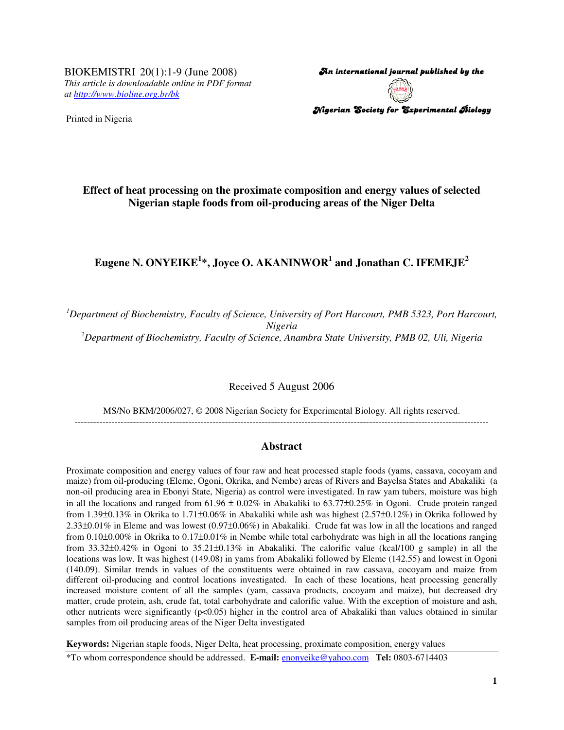BIOKEMISTRI 20(1):1-9 (June 2008) *This article is downloadable online in PDF format at http://www.bioline.org.br/bk*

An international journal published by the

Printed in Nigeria

#### Nigerian Society for Experimental Biology

#### **Effect of heat processing on the proximate composition and energy values of selected Nigerian staple foods from oil-producing areas of the Niger Delta**

# **Eugene N. ONYEIKE<sup>1</sup> \*, Joyce O. AKANINWOR<sup>1</sup> and Jonathan C. IFEMEJE<sup>2</sup>**

*<sup>1</sup>Department of Biochemistry, Faculty of Science, University of Port Harcourt, PMB 5323, Port Harcourt, Nigeria <sup>2</sup>Department of Biochemistry, Faculty of Science, Anambra State University, PMB 02, Uli, Nigeria*

Received 5 August 2006

MS/No BKM/2006/027, © 2008 Nigerian Society for Experimental Biology. All rights reserved. ---------------------------------------------------------------------------------------------------------------------------------------

#### **Abstract**

Proximate composition and energy values of four raw and heat processed staple foods (yams, cassava, cocoyam and maize) from oil-producing (Eleme, Ogoni, Okrika, and Nembe) areas of Rivers and Bayelsa States and Abakaliki (a non-oil producing area in Ebonyi State, Nigeria) as control were investigated. In raw yam tubers, moisture was high in all the locations and ranged from  $61.96 \pm 0.02\%$  in Abakaliki to  $63.77 \pm 0.25\%$  in Ogoni. Crude protein ranged from 1.39±0.13% in Okrika to 1.71±0.06% in Abakaliki while ash was highest (2.57±0.12%) in Okrika followed by 2.33±0.01% in Eleme and was lowest (0.97±0.06%) in Abakaliki. Crude fat was low in all the locations and ranged from 0.10±0.00% in Okrika to 0.17±0.01% in Nembe while total carbohydrate was high in all the locations ranging from 33.32±0.42% in Ogoni to 35.21±0.13% in Abakaliki. The calorific value (kcal/100 g sample) in all the locations was low. It was highest (149.08) in yams from Abakaliki followed by Eleme (142.55) and lowest in Ogoni (140.09). Similar trends in values of the constituents were obtained in raw cassava, cocoyam and maize from different oil-producing and control locations investigated. In each of these locations, heat processing generally increased moisture content of all the samples (yam, cassava products, cocoyam and maize), but decreased dry matter, crude protein, ash, crude fat, total carbohydrate and calorific value. With the exception of moisture and ash, other nutrients were significantly  $(p<0.05)$  higher in the control area of Abakaliki than values obtained in similar samples from oil producing areas of the Niger Delta investigated

**Keywords:** Nigerian staple foods, Niger Delta, heat processing, proximate composition, energy values

\*To whom correspondence should be addressed. **E-mail:** enonyeike@yahoo.com **Tel:** 0803-6714403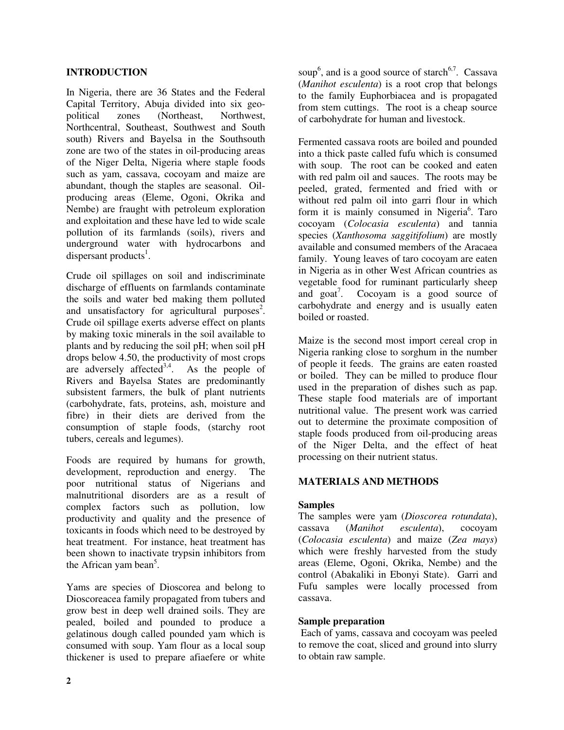#### **INTRODUCTION**

In Nigeria, there are 36 States and the Federal Capital Territory, Abuja divided into six geopolitical zones (Northeast, Northwest, Northcentral, Southeast, Southwest and South south) Rivers and Bayelsa in the Southsouth zone are two of the states in oil-producing areas of the Niger Delta, Nigeria where staple foods such as yam, cassava, cocoyam and maize are abundant, though the staples are seasonal. Oilproducing areas (Eleme, Ogoni, Okrika and Nembe) are fraught with petroleum exploration and exploitation and these have led to wide scale pollution of its farmlands (soils), rivers and underground water with hydrocarbons and dispersant products<sup>1</sup>.

Crude oil spillages on soil and indiscriminate discharge of effluents on farmlands contaminate the soils and water bed making them polluted and unsatisfactory for agricultural purposes<sup>2</sup>. Crude oil spillage exerts adverse effect on plants by making toxic minerals in the soil available to plants and by reducing the soil pH; when soil pH drops below 4.50, the productivity of most crops are adversely affected<sup>3,4</sup>. As the people of Rivers and Bayelsa States are predominantly subsistent farmers, the bulk of plant nutrients (carbohydrate, fats, proteins, ash, moisture and fibre) in their diets are derived from the consumption of staple foods, (starchy root tubers, cereals and legumes).

Foods are required by humans for growth, development, reproduction and energy. The poor nutritional status of Nigerians and malnutritional disorders are as a result of complex factors such as pollution, low productivity and quality and the presence of toxicants in foods which need to be destroyed by heat treatment. For instance, heat treatment has been shown to inactivate trypsin inhibitors from the African yam bean<sup>5</sup>.

Yams are species of Dioscorea and belong to Dioscoreacea family propagated from tubers and grow best in deep well drained soils. They are pealed, boiled and pounded to produce a gelatinous dough called pounded yam which is consumed with soup. Yam flour as a local soup thickener is used to prepare afiaefere or white soup<sup>6</sup>, and is a good source of starch<sup>6,7</sup>. Cassava (*Manihot esculenta*) is a root crop that belongs to the family Euphorbiacea and is propagated from stem cuttings. The root is a cheap source of carbohydrate for human and livestock.

Fermented cassava roots are boiled and pounded into a thick paste called fufu which is consumed with soup. The root can be cooked and eaten with red palm oil and sauces. The roots may be peeled, grated, fermented and fried with or without red palm oil into garri flour in which form it is mainly consumed in Nigeria<sup>6</sup>. Taro cocoyam (*Colocasia esculenta*) and tannia species (*Xanthosoma saggitifolium*) are mostly available and consumed members of the Aracaea family. Young leaves of taro cocoyam are eaten in Nigeria as in other West African countries as vegetable food for ruminant particularly sheep and goat<sup>7</sup>. . Cocoyam is a good source of carbohydrate and energy and is usually eaten boiled or roasted.

Maize is the second most import cereal crop in Nigeria ranking close to sorghum in the number of people it feeds. The grains are eaten roasted or boiled. They can be milled to produce flour used in the preparation of dishes such as pap. These staple food materials are of important nutritional value. The present work was carried out to determine the proximate composition of staple foods produced from oil-producing areas of the Niger Delta, and the effect of heat processing on their nutrient status.

## **MATERIALS AND METHODS**

## **Samples**

The samples were yam (*Dioscorea rotundata*), cassava (*Manihot esculenta*), cocoyam (*Colocasia esculenta*) and maize (*Zea mays*) which were freshly harvested from the study areas (Eleme, Ogoni, Okrika, Nembe) and the control (Abakaliki in Ebonyi State). Garri and Fufu samples were locally processed from cassava.

## **Sample preparation**

Each of yams, cassava and cocoyam was peeled to remove the coat, sliced and ground into slurry to obtain raw sample.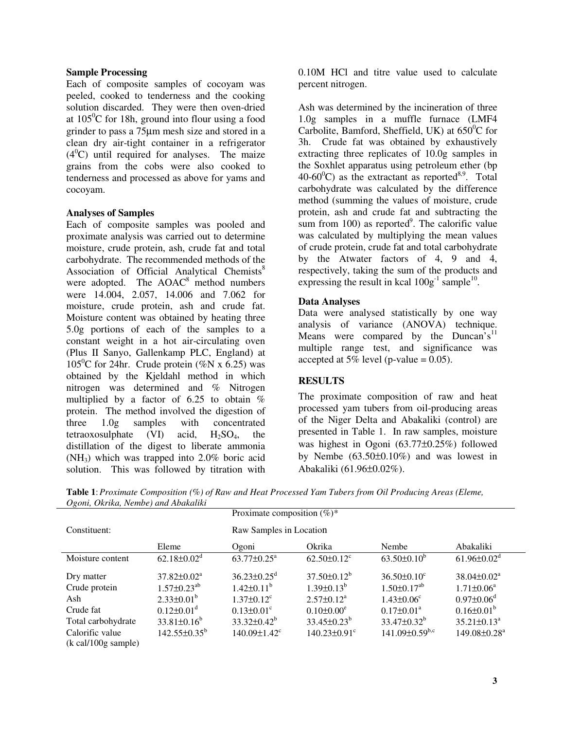#### **Sample Processing**

Each of composite samples of cocoyam was peeled, cooked to tenderness and the cooking solution discarded. They were then oven-dried at  $105^{\circ}$ C for 18h, ground into flour using a food grinder to pass a 75µm mesh size and stored in a clean dry air-tight container in a refrigerator  $(4^0C)$  until required for analyses. The maize grains from the cobs were also cooked to tenderness and processed as above for yams and cocoyam.

#### **Analyses of Samples**

Each of composite samples was pooled and proximate analysis was carried out to determine moisture, crude protein, ash, crude fat and total carbohydrate. The recommended methods of the Association of Official Analytical Chemists<sup>8</sup> were adopted. The  $AOAC^8$  method numbers were 14.004, 2.057, 14.006 and 7.062 for moisture, crude protein, ash and crude fat. Moisture content was obtained by heating three 5.0g portions of each of the samples to a constant weight in a hot air-circulating oven (Plus II Sanyo, Gallenkamp PLC, England) at 105<sup>0</sup>C for 24hr. Crude protein (%N x 6.25) was obtained by the Kjeldahl method in which nitrogen was determined and % Nitrogen multiplied by a factor of 6.25 to obtain % protein. The method involved the digestion of three 1.0g samples with concentrated tetraoxosulphate (VI) acid,  $H_2SO_4$ , the distillation of the digest to liberate ammonia  $(NH<sub>3</sub>)$  which was trapped into 2.0% boric acid solution. This was followed by titration with

0.10M HCl and titre value used to calculate percent nitrogen.

Ash was determined by the incineration of three 1.0g samples in a muffle furnace (LMF4 Carbolite, Bamford, Sheffield, UK) at  $650^{\circ}$ C for 3h. Crude fat was obtained by exhaustively extracting three replicates of 10.0g samples in the Soxhlet apparatus using petroleum ether (bp  $40-60^{\circ}$ C) as the extractant as reported<sup>8,9</sup>. Total carbohydrate was calculated by the difference method (summing the values of moisture, crude protein, ash and crude fat and subtracting the sum from  $100$ ) as reported<sup>9</sup>. The calorific value was calculated by multiplying the mean values of crude protein, crude fat and total carbohydrate by the Atwater factors of 4, 9 and 4, respectively, taking the sum of the products and expressing the result in kcal  $100g^{-1}$  sample<sup>10</sup>.

#### **Data Analyses**

Data were analysed statistically by one way analysis of variance (ANOVA) technique. Means were compared by the Duncan's<sup>11</sup> multiple range test, and significance was accepted at 5% level (p-value =  $0.05$ ).

## **RESULTS**

The proximate composition of raw and heat processed yam tubers from oil-producing areas of the Niger Delta and Abakaliki (control) are presented in Table 1. In raw samples, moisture was highest in Ogoni (63.77±0.25%) followed by Nembe (63.50±0.10%) and was lowest in Abakaliki (61.96±0.02%).

**Table 1**: *Proximate Composition (%) of Raw and Heat Processed Yam Tubers from Oil Producing Areas (Eleme, Ogoni, Okrika, Nembe) and Abakaliki* 

|                                                          |                               | Proximate composition $(\%)^*$ |                                |                               |                                |  |  |
|----------------------------------------------------------|-------------------------------|--------------------------------|--------------------------------|-------------------------------|--------------------------------|--|--|
| Constituent:                                             |                               |                                | Raw Samples in Location        |                               |                                |  |  |
|                                                          | Eleme                         | Ogoni                          | Okrika                         | Nembe                         | Abakaliki                      |  |  |
| Moisture content                                         | $62.18 \pm 0.02$ <sup>d</sup> | $63.77 \pm 0.25^{\text{a}}$    | $62.50 \pm 0.12$ <sup>c</sup>  | $63.50\pm0.10^b$              | $61.96 \pm 0.02$ <sup>d</sup>  |  |  |
| Dry matter                                               | $37.82 \pm 0.02^a$            | $36.23 \pm 0.25$ <sup>d</sup>  | $37.50 \pm 0.12^b$             | $36.50 \pm 0.10^c$            | $38.04 \pm 0.02^a$             |  |  |
| Crude protein                                            | $1.57 \pm 0.23$ <sup>ab</sup> | $1.42 \pm 0.11^b$              | $1.39 \pm 0.13^b$              | $1.50 \pm 0.17$ <sup>ab</sup> | $1.71 \pm 0.06^a$              |  |  |
| Ash                                                      | $2.33 \pm 0.01^b$             | $1.37 \pm 0.12$ <sup>c</sup>   | $2.57 \pm 0.12^a$              | $1.43 \pm 0.06$ <sup>c</sup>  | $0.97 \pm 0.06$ <sup>d</sup>   |  |  |
| Crude fat                                                | $0.12 \pm 0.01$ <sup>d</sup>  | $0.13 \pm 0.01$ <sup>c</sup>   | $0.10 \pm 0.00^e$              | $0.17 \pm 0.01^a$             | $0.16 \pm 0.01^b$              |  |  |
| Total carbohydrate                                       | $33.81 \pm 0.16^b$            | $33.32\pm0.42^b$               | $33.45\pm0.23^b$               | $33.47\pm0.32^b$              | $35.21 \pm 0.13^a$             |  |  |
| Calorific value<br>$(k \text{ cal}/100g \text{ sample})$ | $142.55 \pm 0.35^{\circ}$     | $140.09 \pm 1.42$ <sup>c</sup> | $140.23 \pm 0.91$ <sup>c</sup> | $141.09 \pm 0.59^{b,c}$       | $149.08 \pm 0.28$ <sup>a</sup> |  |  |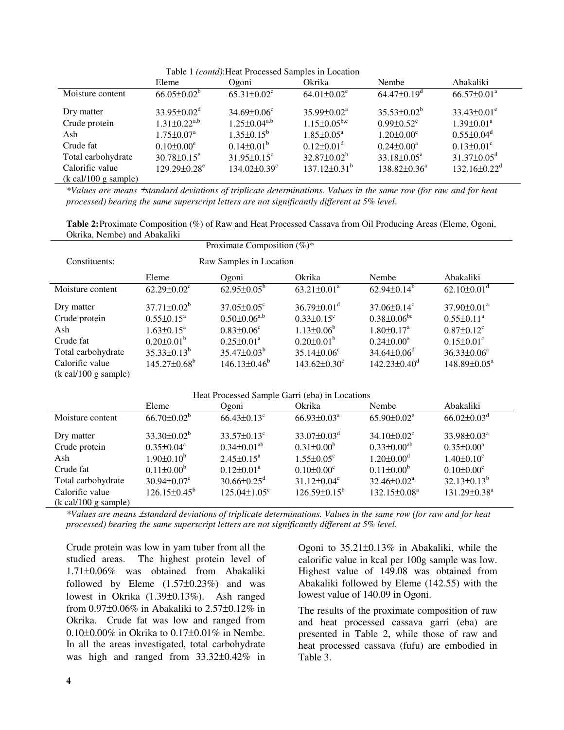| Table 1 (contd): Heat Processed Samples in Location |                                |                                |                               |                              |                                |  |
|-----------------------------------------------------|--------------------------------|--------------------------------|-------------------------------|------------------------------|--------------------------------|--|
|                                                     | Eleme                          | Ogoni                          | Okrika                        | Nembe                        | Abakaliki                      |  |
| Moisture content                                    | $66.05 \pm 0.02^b$             | $65.31 \pm 0.02$ <sup>c</sup>  | $64.01 \pm 0.02$ <sup>e</sup> | $64.47\pm0.19$ <sup>d</sup>  | $66.57 \pm 0.01^{\text{a}}$    |  |
| Dry matter                                          | $33.95 \pm 0.02^d$             | $34.69 \pm 0.06$ <sup>c</sup>  | $35.99 \pm 0.02^a$            | $35.53\pm0.02^b$             | $33.43 \pm 0.01^e$             |  |
| Crude protein                                       | $1.31 \pm 0.22^{a,b}$          | $1.25 \pm 0.04^{a,b}$          | $1.15 \pm 0.05^{b,c}$         | $0.99 \pm 0.52$ <sup>c</sup> | $1.39 \pm 0.01^a$              |  |
| Ash                                                 | $1.75 \pm 0.07$ <sup>a</sup>   | $1.35 \pm 0.15^b$              | $1.85 \pm 0.05^a$             | $1.20 \pm 0.00$ <sup>c</sup> | $0.55 \pm 0.04$ <sup>d</sup>   |  |
| Crude fat                                           | $0.10 \pm 0.00^e$              | $0.14 \pm 0.01^b$              | $0.12 \pm 0.01$ <sup>d</sup>  | $0.24 \pm 0.00^a$            | $0.13 \pm 0.01$ <sup>c</sup>   |  |
| Total carbohydrate                                  | $30.78 \pm 0.15$ <sup>e</sup>  | $31.95 \pm 0.15$ <sup>c</sup>  | $32.87 \pm 0.02^b$            | $33.18 \pm 0.05^a$           | $31.37 \pm 0.05$ <sup>d</sup>  |  |
| Calorific value                                     | $129.29 \pm 0.28$ <sup>e</sup> | $134.02 \pm 0.39$ <sup>c</sup> | $137.12\pm0.31^{\rm b}$       | $138.82 \pm 0.36^a$          | $132.16 \pm 0.22$ <sup>d</sup> |  |
| $(k \text{ cal}/100 \text{ g sample})$              |                                |                                |                               |                              |                                |  |

*\*Values are means* ±*standard deviations of triplicate determinations. Values in the same row (for raw and for heat processed) bearing the same superscript letters are not significantly different at 5% level*.

**Table 2:** Proximate Composition (%) of Raw and Heat Processed Cassava from Oil Producing Areas (Eleme, Ogoni, Okrika, Nembe) and Abakaliki

| Proximate Composition $(\%)^*$         |                                |                               |                                |                                |                              |  |  |
|----------------------------------------|--------------------------------|-------------------------------|--------------------------------|--------------------------------|------------------------------|--|--|
| Constituents:                          | Raw Samples in Location        |                               |                                |                                |                              |  |  |
|                                        | Eleme                          | Ogoni                         | Okrika                         | Nembe                          | Abakaliki                    |  |  |
| Moisture content                       | $62.29 \pm 0.02$ <sup>c</sup>  | $62.95 \pm 0.05^{\rm b}$      | $63.21 \pm 0.01^a$             | $62.94\pm0.14^b$               | $62.10\pm0.01$ <sup>d</sup>  |  |  |
| Dry matter                             | $37.71 \pm 0.02^b$             | $37.05 \pm 0.05$ <sup>c</sup> | $36.79 \pm 0.01$ <sup>d</sup>  | $37.06 \pm 0.14$ <sup>c</sup>  | $37.90 \pm 0.01^a$           |  |  |
| Crude protein                          | $0.55 \pm 0.15^{\text{a}}$     | $0.50 \pm 0.06^{a,b}$         | $0.33 \pm 0.15$ <sup>c</sup>   | $0.38 \pm 0.06^{\rm bc}$       | $0.55 \pm 0.11^a$            |  |  |
| Ash                                    | $1.63 \pm 0.15^a$              | $0.83 \pm 0.06$ <sup>c</sup>  | $1.13 \pm 0.06^b$              | $1.80 \pm 0.17$ <sup>a</sup>   | $0.87 \pm 0.12$ <sup>c</sup> |  |  |
| Crude fat                              | $0.20 \pm 0.01^b$              | $0.25 \pm 0.01^a$             | $0.20 \pm 0.01^b$              | $0.24 \pm 0.00^a$              | $0.15 \pm 0.01$ <sup>c</sup> |  |  |
| Total carbohydrate                     | $35.33\pm0.13^b$               | $35.47 \pm 0.03^b$            | $35.14 \pm 0.06$ <sup>c</sup>  | $34.64 \pm 0.06$ <sup>d</sup>  | $36.33 \pm 0.06^a$           |  |  |
| Calorific value                        | $145.27 \pm 0.68^{\mathrm{b}}$ | $146.13\pm0.46^b$             | $143.62 \pm 0.30$ <sup>c</sup> | $142.23 \pm 0.40$ <sup>d</sup> | $148.89 \pm 0.05^{\text{a}}$ |  |  |
| $(k \text{ cal}/100 \text{ g sample})$ |                                |                               |                                |                                |                              |  |  |

Heat Processed Sample Garri (eba) in Locations

|                                        | Eleme                         | Ogoni                          | Okrika                        | Nembe                         | Abakaliki                      |
|----------------------------------------|-------------------------------|--------------------------------|-------------------------------|-------------------------------|--------------------------------|
| Moisture content                       | $66.70 \pm 0.02^b$            | $66.43\pm0.13^c$               | $66.93 \pm 0.03^a$            | $65.90 \pm 0.02$ <sup>e</sup> | $66.02 \pm 0.03$ <sup>d</sup>  |
| Dry matter                             | $33.30\pm0.02^b$              | $33.57 \pm 0.13$ <sup>c</sup>  | $33.07 \pm 0.03$ <sup>d</sup> | $34.10\pm0.02^{\circ}$        | $33.98 \pm 0.03^a$             |
| Crude protein                          | $0.35 \pm 0.04^a$             | $0.34 \pm 0.01^{ab}$           | $0.31 \pm 0.00^b$             | $0.33 \pm 0.00^{ab}$          | $0.35 \pm 0.00^a$              |
| Ash                                    | $1.90 \pm 0.10^b$             | $2.45 \pm 0.15^a$              | $1.55 \pm 0.05$ <sup>c</sup>  | $1.20 \pm 0.00$ <sup>d</sup>  | $1.40 \pm 0.10^c$              |
| Crude fat                              | $0.11 \pm 0.00^b$             | $0.12 \pm 0.01^a$              | $0.10 \pm 0.00$ <sup>c</sup>  | $0.11 \pm 0.00^b$             | $0.10 \pm 0.00$ <sup>c</sup>   |
| Total carbohydrate                     | $30.94 \pm 0.07$ <sup>c</sup> | $30.66 \pm 0.25$ <sup>d</sup>  | $31.12 \pm 0.04$ <sup>c</sup> | $32.46 \pm 0.02^a$            | $32.13\pm0.13^{b}$             |
| Calorific value                        | $126.15 \pm 0.45^{\circ}$     | $125.04 \pm 1.05$ <sup>c</sup> | $126.59 \pm 0.15^b$           | $132.15 \pm 0.08^a$           | $131.29 \pm 0.38$ <sup>a</sup> |
| $(k \text{ cal}/100 \text{ g sample})$ |                               |                                |                               |                               |                                |

*\*Values are means* ±*standard deviations of triplicate determinations. Values in the same row (for raw and for heat processed) bearing the same superscript letters are not significantly different at 5% level.* 

Crude protein was low in yam tuber from all the studied areas. The highest protein level of 1.71±0.06% was obtained from Abakaliki followed by Eleme  $(1.57\pm0.23\%)$  and was lowest in Okrika (1.39±0.13%). Ash ranged from 0.97±0.06% in Abakaliki to 2.57±0.12% in Okrika. Crude fat was low and ranged from 0.10±0.00% in Okrika to 0.17±0.01% in Nembe. In all the areas investigated, total carbohydrate was high and ranged from 33.32±0.42% in Ogoni to 35.21±0.13% in Abakaliki, while the calorific value in kcal per 100g sample was low. Highest value of 149.08 was obtained from Abakaliki followed by Eleme (142.55) with the lowest value of 140.09 in Ogoni.

The results of the proximate composition of raw and heat processed cassava garri (eba) are presented in Table 2, while those of raw and heat processed cassava (fufu) are embodied in Table 3.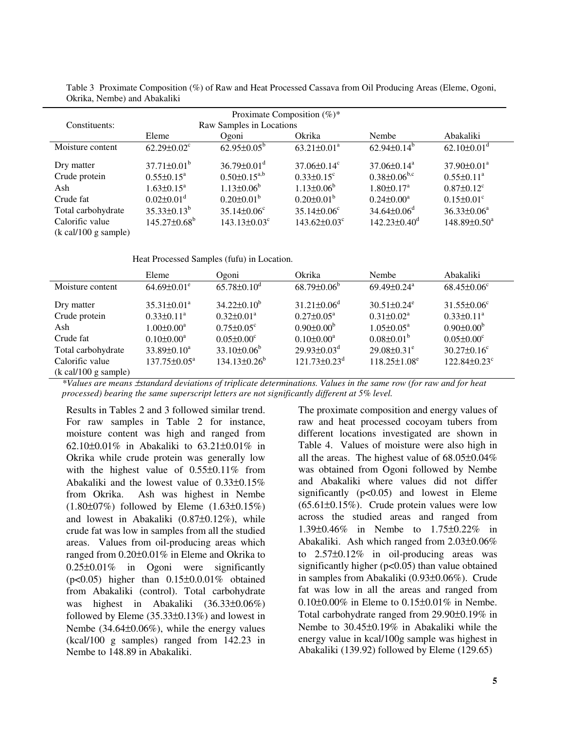| Proximate Composition $(\%)^*$         |                                |                                |                                |                                |                               |  |
|----------------------------------------|--------------------------------|--------------------------------|--------------------------------|--------------------------------|-------------------------------|--|
| Constituents:                          | Raw Samples in Locations       |                                |                                |                                |                               |  |
|                                        | Eleme                          | Ogoni                          | Okrika                         | Nembe                          | Abakaliki                     |  |
| Moisture content                       | $62.29 \pm 0.02$ <sup>c</sup>  | $62.95\pm0.05^{\rm b}$         | $63.21 \pm 0.01^a$             | $62.94\pm0.14^b$               | $62.10\pm0.01$ <sup>d</sup>   |  |
| Dry matter                             | $37.71 \pm 0.01^b$             | $36.79 \pm 0.01$ <sup>d</sup>  | $37.06 \pm 0.14$ °             | $37.06 \pm 0.14$ <sup>a</sup>  | 37.90 $\pm$ 0.01 <sup>a</sup> |  |
| Crude protein                          | $0.55 \pm 0.15^a$              | $0.50 \pm 0.15^{a,b}$          | $0.33 \pm 0.15$ °              | $0.38 \pm 0.06$ <sup>b,c</sup> | $0.55 \pm 0.11^a$             |  |
| Ash                                    | $1.63 \pm 0.15^a$              | $1.13 \pm 0.06^b$              | $1.13 \pm 0.06^b$              | $1.80 \pm 0.17^{\text{a}}$     | $0.87 \pm 0.12$ <sup>c</sup>  |  |
| Crude fat                              | $0.02 \pm 0.01$ <sup>d</sup>   | $0.20 \pm 0.01^b$              | $0.20 \pm 0.01^b$              | $0.24 \pm 0.00^a$              | $0.15 \pm 0.01$ <sup>c</sup>  |  |
| Total carbohydrate                     | $35.33\pm0.13^b$               | $35.14 \pm 0.06^{\circ}$       | $35.14 \pm 0.06^{\circ}$       | $34.64 \pm 0.06^{\circ}$       | $36.33 \pm 0.06^a$            |  |
| Calorific value                        | $145.27 \pm 0.68^{\mathrm{b}}$ | $143.13 \pm 0.03$ <sup>c</sup> | $143.62 \pm 0.03$ <sup>c</sup> | $142.23 \pm 0.40$ <sup>d</sup> | $148.89 \pm 0.50^a$           |  |
| $(k \text{ cal}/100 \text{ g sample})$ |                                |                                |                                |                                |                               |  |

Table 3 Proximate Composition (%) of Raw and Heat Processed Cassava from Oil Producing Areas (Eleme, Ogoni, Okrika, Nembe) and Abakaliki

Heat Processed Samples (fufu) in Location.

|                                        | Eleme                          | Ogoni                        | Okrika                         | Nembe                         | Abakaliki                      |
|----------------------------------------|--------------------------------|------------------------------|--------------------------------|-------------------------------|--------------------------------|
| Moisture content                       | $64.69 \pm 0.01^e$             | $65.78 \pm 0.10^{\rm d}$     | $68.79 \pm 0.06^{\rm b}$       | $69.49 \pm 0.24$ <sup>a</sup> | $68.45 \pm 0.06$ <sup>c</sup>  |
| Dry matter                             | $35.31 \pm 0.01^a$             | $34.22 \pm 0.10^b$           | $31.21 \pm 0.06$ <sup>d</sup>  | $30.51 \pm 0.24$ <sup>e</sup> | $31.55 \pm 0.06$ <sup>c</sup>  |
| Crude protein                          | $0.33 \pm 0.11$ <sup>a</sup>   | $0.32 \pm 0.01^a$            | $0.27 \pm 0.05^{\text{a}}$     | $0.31 \pm 0.02^a$             | $0.33 \pm 0.11^a$              |
| Ash                                    | $1.00 \pm 0.00^a$              | $0.75 \pm 0.05$ <sup>c</sup> | $0.90 \pm 0.00^{\rm b}$        | $1.05 \pm 0.05^{\text{a}}$    | $0.90 \pm 0.00^{\rm b}$        |
| Crude fat                              | $0.10 \pm 0.00^a$              | $0.05 \pm 0.00$ <sup>c</sup> | $0.10 \pm 0.00^a$              | $0.08 \pm 0.01^b$             | $0.05 \pm 0.00$ <sup>c</sup>   |
| Total carbohydrate                     | $33.89 \pm 0.10^a$             | $33.10\pm0.06^b$             | $29.93 \pm 0.03$ <sup>d</sup>  | $29.08 \pm 0.31$ <sup>e</sup> | $30.27 \pm 0.16$ <sup>c</sup>  |
| Calorific value                        | $137.75 \pm 0.05^{\mathrm{a}}$ | $134.13\pm0.26^b$            | $121.73 \pm 0.23$ <sup>d</sup> | $118.25 \pm 1.08^e$           | $122.84 \pm 0.23$ <sup>c</sup> |
| $(k \text{ cal}/100 \text{ g sample})$ |                                |                              |                                |                               |                                |

*\*Values are means* ±*standard deviations of triplicate determinations. Values in the same row (for raw and for heat processed) bearing the same superscript letters are not significantly different at 5% level.* 

Results in Tables 2 and 3 followed similar trend. For raw samples in Table 2 for instance, moisture content was high and ranged from 62.10±0.01% in Abakaliki to 63.21±0.01% in Okrika while crude protein was generally low with the highest value of  $0.55\pm0.11\%$  from Abakaliki and the lowest value of 0.33±0.15% from Okrika. Ash was highest in Nembe (1.80±07%) followed by Eleme (1.63±0.15%) and lowest in Abakaliki (0.87±0.12%), while crude fat was low in samples from all the studied areas. Values from oil-producing areas which ranged from 0.20±0.01% in Eleme and Okrika to 0.25±0.01% in Ogoni were significantly  $(p<0.05)$  higher than  $0.15\pm0.001\%$  obtained from Abakaliki (control). Total carbohydrate was highest in Abakaliki (36.33±0.06%) followed by Eleme (35.33±0.13%) and lowest in Nembe (34.64±0.06%), while the energy values (kcal/100 g samples) ranged from 142.23 in Nembe to 148.89 in Abakaliki.

The proximate composition and energy values of raw and heat processed cocoyam tubers from different locations investigated are shown in Table 4. Values of moisture were also high in all the areas. The highest value of 68.05±0.04% was obtained from Ogoni followed by Nembe and Abakaliki where values did not differ significantly  $(p<0.05)$  and lowest in Eleme (65.61±0.15%). Crude protein values were low across the studied areas and ranged from 1.39±0.46% in Nembe to 1.75±0.22% in Abakaliki. Ash which ranged from 2.03±0.06% to 2.57±0.12% in oil-producing areas was significantly higher (p<0.05) than value obtained in samples from Abakaliki (0.93±0.06%). Crude fat was low in all the areas and ranged from 0.10±0.00% in Eleme to 0.15±0.01% in Nembe. Total carbohydrate ranged from 29.90±0.19% in Nembe to 30.45±0.19% in Abakaliki while the energy value in kcal/100g sample was highest in Abakaliki (139.92) followed by Eleme (129.65)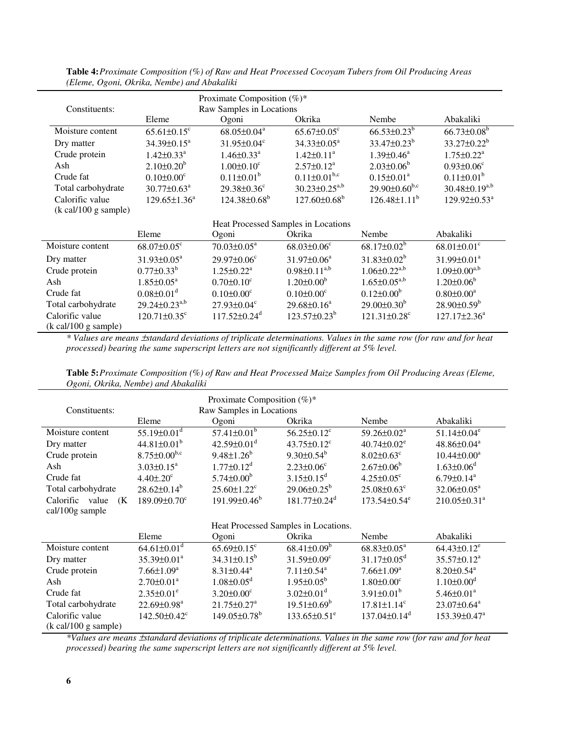| Proximate Composition $(\%)^*$<br>Raw Samples in Locations<br>Constituents: |                                     |                                |                               |                                 |                               |  |
|-----------------------------------------------------------------------------|-------------------------------------|--------------------------------|-------------------------------|---------------------------------|-------------------------------|--|
|                                                                             | Eleme                               | Ogoni                          | Okrika                        | Nembe                           | Abakaliki                     |  |
| Moisture content                                                            | $65.61 \pm 0.15$ <sup>c</sup>       | $68.05 \pm 0.04^a$             | $65.67 \pm 0.05$ <sup>c</sup> | $66.53 \pm 0.23^b$              | $66.73 \pm 0.08^b$            |  |
| Dry matter                                                                  | 34.39±0.15 <sup>a</sup>             | $31.95 \pm 0.04$ <sup>c</sup>  | 34.33±0.05 <sup>a</sup>       | $33.47 \pm 0.23^b$              | $33.27 \pm 0.22^b$            |  |
| Crude protein                                                               | $1.42 \pm 0.33$ <sup>a</sup>        | $1.46 \pm 0.33$ <sup>a</sup>   | $1.42 \pm 0.11^a$             | $1.39 \pm 0.46^a$               | $1.75 \pm 0.22$ <sup>a</sup>  |  |
| Ash                                                                         | $2.10\pm0.20^b$                     | $1.00 \pm 0.10$ <sup>c</sup>   | $2.57 \pm 0.12^a$             | $2.03 \pm 0.06^b$               | $0.93 \pm 0.06$ <sup>c</sup>  |  |
| Crude fat                                                                   | $0.10 \pm 0.00$ <sup>c</sup>        | $0.11 \pm 0.01^b$              | $0.11 \pm 0.01^{b,c}$         | $0.15 \pm 0.01^a$               | $0.11 \pm 0.01^b$             |  |
| Total carbohydrate                                                          | $30.77 \pm 0.63^{\text{a}}$         | $29.38 \pm 0.36$ <sup>c</sup>  | $30.23 \pm 0.25^{a,b}$        | 29.90 $\pm$ 0.60 <sup>b,c</sup> | $30.48 \pm 0.19^{a,b}$        |  |
| Calorific value                                                             | $129.65 \pm 1.36^a$                 | $124.38 \pm 0.68^b$            | $127.60 \pm 0.68^b$           | $126.48 \pm 1.11^b$             | 129.92±0.53 <sup>a</sup>      |  |
| $(k \text{ cal}/100 \text{ g sample})$                                      |                                     |                                |                               |                                 |                               |  |
|                                                                             | Heat Processed Samples in Locations |                                |                               |                                 |                               |  |
|                                                                             | Eleme                               | Ogoni                          | Okrika                        | Nembe                           | Abakaliki                     |  |
| Moisture content                                                            | $68.07 \pm 0.05$ <sup>c</sup>       | $70.03 \pm 0.05^{\text{a}}$    | $68.03 \pm 0.06$ <sup>c</sup> | $68.17 \pm 0.02^b$              | $68.01 \pm 0.01$ <sup>c</sup> |  |
| Dry matter                                                                  | $31.93 \pm 0.05^a$                  | $29.97 \pm 0.06$ <sup>c</sup>  | 31.97±0.06 <sup>a</sup>       | $31.83 \pm 0.02^b$              | 31.99±0.01 <sup>a</sup>       |  |
| Crude protein                                                               | $0.77 \pm 0.33^b$                   | $1.25 \pm 0.22$ <sup>a</sup>   | $0.98 \pm 0.11^{a,b}$         | $1.06 \pm 0.22^{a,b}$           | $1.09 \pm 0.00^{a,b}$         |  |
| Ash                                                                         | $1.85 \pm 0.05^a$                   | $0.70 \pm 0.10$ <sup>c</sup>   | $1.20 \pm 0.00^b$             | $1.65 \pm 0.05^{a,b}$           | $1.20 \pm 0.06^b$             |  |
| Crude fat                                                                   | $0.08 \pm 0.01$ <sup>d</sup>        | $0.10 \pm 0.00$ <sup>c</sup>   | $0.10 \pm 0.00$ <sup>c</sup>  | $0.12 \pm 0.00^b$               | $0.80 \pm 0.00^a$             |  |
| Total carbohydrate                                                          | $29.24 \pm 0.23^{a,b}$              | $27.93 \pm 0.04$ <sup>c</sup>  | $29.68 \pm 0.16^a$            | $29.00 \pm 0.30^b$              | $28.90\pm0.59^b$              |  |
| Calorific value                                                             | $120.71 \pm 0.35$ <sup>c</sup>      | $117.52 \pm 0.24$ <sup>d</sup> | $123.57 \pm 0.23^b$           | $121.31 \pm 0.28$ <sup>c</sup>  | $127.17 \pm 2.36^a$           |  |
| $(k \text{ cal}/100 \text{ g sample})$                                      |                                     |                                |                               |                                 |                               |  |

**Table 4:***Proximate Composition (%) of Raw and Heat Processed Cocoyam Tubers from Oil Producing Areas (Eleme, Ogoni, Okrika, Nembe) and Abakaliki* 

*\* Values are means* ±*standard deviations of triplicate determinations. Values in the same row (for raw and for heat processed) bearing the same superscript letters are not significantly different at 5% level.* 

**Table 5:***Proximate Composition (%) of Raw and Heat Processed Maize Samples from Oil Producing Areas (Eleme, Ogoni, Okrika, Nembe) and Abakaliki* 

| Proximate Composition $(\%)^*$<br>Raw Samples in Locations<br>Constituents: |                                      |                                |                                |                                |                                |  |
|-----------------------------------------------------------------------------|--------------------------------------|--------------------------------|--------------------------------|--------------------------------|--------------------------------|--|
|                                                                             | Eleme                                | Ogoni                          | Okrika                         | Nembe                          | Abakaliki                      |  |
| Moisture content                                                            | 55.19 $\pm$ 0.01 <sup>d</sup>        | $57.41 \pm 0.01^b$             | $56.25 \pm 0.12$ <sup>c</sup>  | 59.26±0.02 <sup>a</sup>        | $51.14 \pm 0.04$ <sup>e</sup>  |  |
| Dry matter                                                                  | $44.81 \pm 0.01^{\rm b}$             | 42.59 $\pm$ 0.01 <sup>d</sup>  | $43.75 \pm 0.12$ <sup>c</sup>  | $40.74 \pm 0.02$ <sup>e</sup>  | 48.86±0.04 <sup>a</sup>        |  |
| Crude protein                                                               | $8.75 \pm 0.00$ <sup>b,c</sup>       | $9.48 \pm 1.26^b$              | $9.30 \pm 0.54^b$              | $8.02 \pm 0.63$ <sup>c</sup>   | $10.44 \pm 0.00^a$             |  |
| Ash                                                                         | $3.03 \pm 0.15^a$                    | $1.77 \pm 0.12^d$              | $2.23 \pm 0.06$ <sup>c</sup>   | $2.67 \pm 0.06^b$              | $1.63 \pm 0.06$ <sup>d</sup>   |  |
| Crude fat                                                                   | $4.40{\pm}.20^{\circ}$               | $5.74 \pm 0.00^b$              | $3.15 \pm 0.15$ <sup>d</sup>   | $4.25 \pm 0.05$ <sup>c</sup>   | $6.79 \pm 0.14$ <sup>a</sup>   |  |
| Total carbohydrate                                                          | $28.62\pm0.14^b$                     | $25.60 \pm 1.22$ <sup>c</sup>  | $29.06\pm0.25^{\rm b}$         | $25.08 \pm 0.63$ <sup>c</sup>  | $32.06 \pm 0.05^a$             |  |
| Calorific<br>value<br>(K <sup>2</sup> )                                     | 189.09±0.70°                         | $191.99 \pm 0.46^b$            | $181.77 \pm 0.24$ <sup>d</sup> | $173.54 \pm 0.54$ <sup>e</sup> | $210.05 \pm 0.31$ <sup>a</sup> |  |
| cal/100g sample                                                             |                                      |                                |                                |                                |                                |  |
|                                                                             | Heat Processed Samples in Locations. |                                |                                |                                |                                |  |
|                                                                             | Eleme                                | Ogoni                          | Okrika                         | Nembe                          | Abakaliki                      |  |
| Moisture content                                                            | $64.61 \pm 0.01$ <sup>d</sup>        | $65.69 \pm 0.15$ <sup>c</sup>  | $68.41 \pm 0.09^b$             | $68.83 \pm 0.05^a$             | $64.43 \pm 0.12$ <sup>e</sup>  |  |
| Dry matter                                                                  | $35.39 \pm 0.01^a$                   | $34.31 \pm 0.15^b$             | $31.59 \pm 0.09$ <sup>c</sup>  | $31.17 \pm 0.05$ <sup>d</sup>  | 35.57±0.12 <sup>a</sup>        |  |
| Crude protein                                                               | $7.66{\pm}1.09^a$                    | $8.31 \pm 0.44$ <sup>a</sup>   | $7.11 \pm 0.54$ <sup>a</sup>   | $7.66{\pm}1.09^a$              | $8.20 \pm 0.54$ <sup>a</sup>   |  |
| Ash                                                                         | $2.70 \pm 0.01$ <sup>a</sup>         | $1.08 \pm 0.05$ <sup>d</sup>   | $1.95 \pm 0.05^{\rm b}$        | $1.80 \pm 0.00$ <sup>c</sup>   | $1.10 \pm 0.00$ <sup>d</sup>   |  |
| Crude fat                                                                   | $2.35 \pm 0.01^e$                    | $3.20 \pm 0.00$ <sup>c</sup>   | $3.02 \pm 0.01$ <sup>d</sup>   | $3.91 \pm 0.01^b$              | $5.46 \pm 0.01$ <sup>a</sup>   |  |
| Total carbohydrate                                                          | $22.69 \pm 0.98$ <sup>a</sup>        | $21.75 \pm 0.27$ <sup>a</sup>  | $19.51 \pm 0.69^b$             | $17.81 \pm 1.14$ <sup>c</sup>  | $23.07 \pm 0.64$ <sup>a</sup>  |  |
| Calorific value                                                             | $142.50 \pm 0.42$ <sup>c</sup>       | $149.05 \pm 0.78$ <sup>b</sup> | $133.65 \pm 0.51$ <sup>e</sup> | $137.04 \pm 0.14$ <sup>d</sup> | $153.39 \pm 0.47^{\text{a}}$   |  |
| $(k \text{ cal}/100 \text{ g sample})$                                      |                                      |                                |                                |                                |                                |  |

*\*Values are means* ±*standard deviations of triplicate determinations. Values in the same row (for raw and for heat processed) bearing the same superscript letters are not significantly different at 5% level.*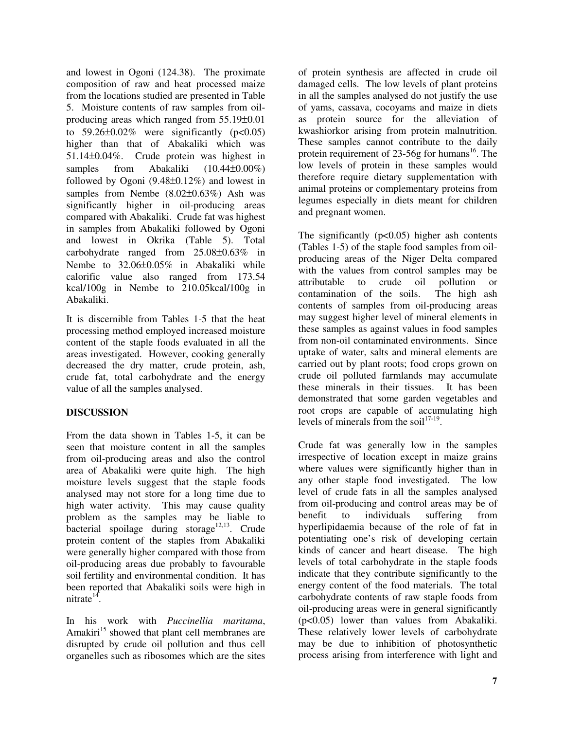and lowest in Ogoni (124.38). The proximate composition of raw and heat processed maize from the locations studied are presented in Table 5. Moisture contents of raw samples from oilproducing areas which ranged from 55.19±0.01 to  $59.26 \pm 0.02\%$  were significantly ( $p < 0.05$ ) higher than that of Abakaliki which was 51.14±0.04%. Crude protein was highest in samples from Abakaliki (10.44±0.00%) followed by Ogoni (9.48±0.12%) and lowest in samples from Nembe (8.02±0.63%) Ash was significantly higher in oil-producing areas compared with Abakaliki. Crude fat was highest in samples from Abakaliki followed by Ogoni and lowest in Okrika (Table 5). Total carbohydrate ranged from 25.08±0.63% in Nembe to 32.06±0.05% in Abakaliki while calorific value also ranged from 173.54 kcal/100g in Nembe to 210.05kcal/100g in Abakaliki.

It is discernible from Tables 1-5 that the heat processing method employed increased moisture content of the staple foods evaluated in all the areas investigated. However, cooking generally decreased the dry matter, crude protein, ash, crude fat, total carbohydrate and the energy value of all the samples analysed.

## **DISCUSSION**

From the data shown in Tables 1-5, it can be seen that moisture content in all the samples from oil-producing areas and also the control area of Abakaliki were quite high. The high moisture levels suggest that the staple foods analysed may not store for a long time due to high water activity. This may cause quality problem as the samples may be liable to bacterial spoilage during storage<sup>12,13</sup>. Crude protein content of the staples from Abakaliki were generally higher compared with those from oil-producing areas due probably to favourable soil fertility and environmental condition. It has been reported that Abakaliki soils were high in nitrate $^{14}$ .

In his work with *Puccinellia maritama*, Amakiri<sup>15</sup> showed that plant cell membranes are disrupted by crude oil pollution and thus cell organelles such as ribosomes which are the sites

of protein synthesis are affected in crude oil damaged cells. The low levels of plant proteins in all the samples analysed do not justify the use of yams, cassava, cocoyams and maize in diets as protein source for the alleviation of kwashiorkor arising from protein malnutrition. These samples cannot contribute to the daily protein requirement of  $23-56g$  for humans<sup>16</sup>. The low levels of protein in these samples would therefore require dietary supplementation with animal proteins or complementary proteins from legumes especially in diets meant for children and pregnant women.

The significantly  $(p<0.05)$  higher ash contents (Tables 1-5) of the staple food samples from oilproducing areas of the Niger Delta compared with the values from control samples may be attributable to crude oil pollution or contamination of the soils. The high ash contents of samples from oil-producing areas may suggest higher level of mineral elements in these samples as against values in food samples from non-oil contaminated environments. Since uptake of water, salts and mineral elements are carried out by plant roots; food crops grown on crude oil polluted farmlands may accumulate these minerals in their tissues. It has been demonstrated that some garden vegetables and root crops are capable of accumulating high levels of minerals from the soil $17-19$ .

Crude fat was generally low in the samples irrespective of location except in maize grains where values were significantly higher than in any other staple food investigated. The low level of crude fats in all the samples analysed from oil-producing and control areas may be of benefit to individuals suffering from hyperlipidaemia because of the role of fat in potentiating one's risk of developing certain kinds of cancer and heart disease. The high levels of total carbohydrate in the staple foods indicate that they contribute significantly to the energy content of the food materials. The total carbohydrate contents of raw staple foods from oil-producing areas were in general significantly (p<0.05) lower than values from Abakaliki. These relatively lower levels of carbohydrate may be due to inhibition of photosynthetic process arising from interference with light and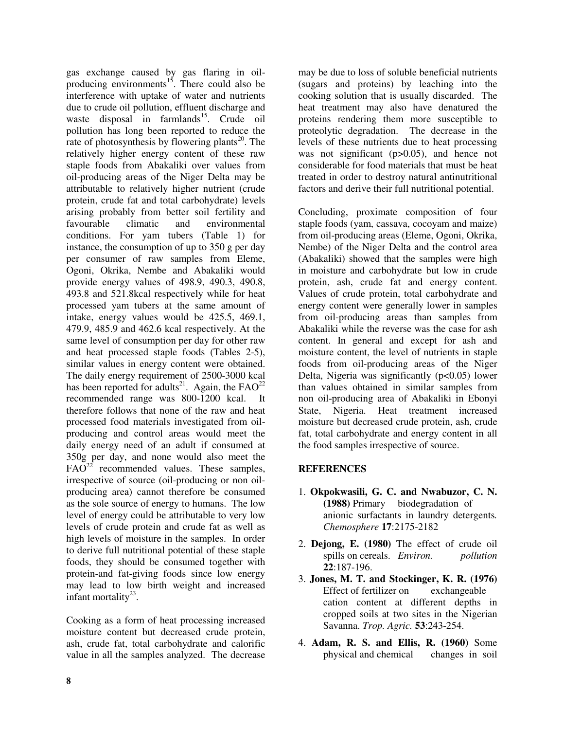gas exchange caused by gas flaring in oilproducing environments<sup>15</sup>. There could also be interference with uptake of water and nutrients due to crude oil pollution, effluent discharge and waste disposal in farmlands<sup>15</sup>. Crude oil pollution has long been reported to reduce the rate of photosynthesis by flowering plants<sup>20</sup>. The relatively higher energy content of these raw staple foods from Abakaliki over values from oil-producing areas of the Niger Delta may be attributable to relatively higher nutrient (crude protein, crude fat and total carbohydrate) levels arising probably from better soil fertility and favourable climatic and environmental conditions. For yam tubers (Table 1) for instance, the consumption of up to 350 g per day per consumer of raw samples from Eleme, Ogoni, Okrika, Nembe and Abakaliki would provide energy values of 498.9, 490.3, 490.8, 493.8 and 521.8kcal respectively while for heat processed yam tubers at the same amount of intake, energy values would be 425.5, 469.1, 479.9, 485.9 and 462.6 kcal respectively. At the same level of consumption per day for other raw and heat processed staple foods (Tables 2-5), similar values in energy content were obtained. The daily energy requirement of 2500-3000 kcal has been reported for adults<sup>21</sup>. Again, the  $FAO^{22}$ recommended range was 800-1200 kcal. It therefore follows that none of the raw and heat processed food materials investigated from oilproducing and control areas would meet the daily energy need of an adult if consumed at 350g per day, and none would also meet the  $FAO<sup>22</sup>$  recommended values. These samples, irrespective of source (oil-producing or non oilproducing area) cannot therefore be consumed as the sole source of energy to humans. The low level of energy could be attributable to very low levels of crude protein and crude fat as well as high levels of moisture in the samples. In order to derive full nutritional potential of these staple foods, they should be consumed together with protein-and fat-giving foods since low energy may lead to low birth weight and increased infant mortality $^{23}$ .

Cooking as a form of heat processing increased moisture content but decreased crude protein, ash, crude fat, total carbohydrate and calorific value in all the samples analyzed. The decrease

may be due to loss of soluble beneficial nutrients (sugars and proteins) by leaching into the cooking solution that is usually discarded. The heat treatment may also have denatured the proteins rendering them more susceptible to proteolytic degradation. The decrease in the levels of these nutrients due to heat processing was not significant (p>0.05), and hence not considerable for food materials that must be heat treated in order to destroy natural antinutritional factors and derive their full nutritional potential.

Concluding, proximate composition of four staple foods (yam, cassava, cocoyam and maize) from oil-producing areas (Eleme, Ogoni, Okrika, Nembe) of the Niger Delta and the control area (Abakaliki) showed that the samples were high in moisture and carbohydrate but low in crude protein, ash, crude fat and energy content. Values of crude protein, total carbohydrate and energy content were generally lower in samples from oil-producing areas than samples from Abakaliki while the reverse was the case for ash content. In general and except for ash and moisture content, the level of nutrients in staple foods from oil-producing areas of the Niger Delta, Nigeria was significantly  $(p<0.05)$  lower than values obtained in similar samples from non oil-producing area of Abakaliki in Ebonyi State, Nigeria. Heat treatment increased moisture but decreased crude protein, ash, crude fat, total carbohydrate and energy content in all the food samples irrespective of source.

## **REFERENCES**

- 1. **Okpokwasili, G. C. and Nwabuzor, C. N. (1988)** Primary biodegradation of anionic surfactants in laundry detergents*. Chemosphere* **17**:2175-2182
- 2. **Dejong, E. (1980)** The effect of crude oil spills on cereals. *Environ. pollution* **22**:187-196.
- 3. **Jones, M. T. and Stockinger, K. R. (1976)**  Effect of fertilizer on exchangeable cation content at different depths in cropped soils at two sites in the Nigerian Savanna. *Trop. Agric.* **53**:243-254.
- 4. **Adam, R. S. and Ellis, R. (1960)** Some physical and chemical changes in soil